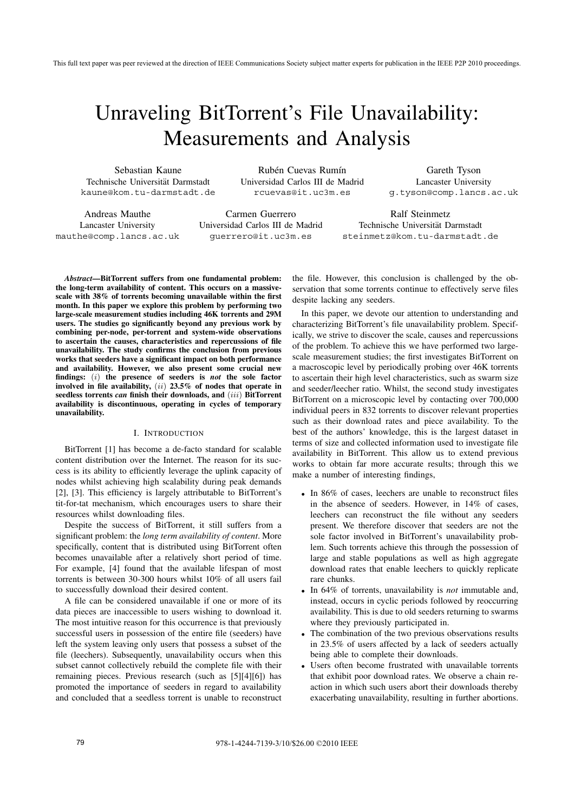# Unraveling BitTorrent's File Unavailability: Measurements and Analysis

Sebastian Kaune Technische Universität Darmstadt kaune@kom.tu-darmstadt.de

Rubén Cuevas Rumín Universidad Carlos III de Madrid rcuevas@it.uc3m.es

Gareth Tyson Lancaster University g.tyson@comp.lancs.ac.uk

Andreas Mauthe Lancaster University mauthe@comp.lancs.ac.uk

Carmen Guerrero Universidad Carlos III de Madrid guerrero@it.uc3m.es

Technische Universität Darmstadt steinmetz@kom.tu-darmstadt.de

Ralf Steinmetz

*Abstract***—BitTorrent suffers from one fundamental problem: the long-term availability of content. This occurs on a massivescale with 38% of torrents becoming unavailable within the first month. In this paper we explore this problem by performing two large-scale measurement studies including 46K torrents and 29M users. The studies go significantly beyond any previous work by combining per-node, per-torrent and system-wide observations to ascertain the causes, characteristics and repercussions of file unavailability. The study confirms the conclusion from previous works that seeders have a significant impact on both performance and availability. However, we also present some crucial new findings:** (i) **the presence of seeders is** *not* **the sole factor involved in file availability,** (ii) **23.5% of nodes that operate in seedless torrents** *can* **finish their downloads, and** (iii) **BitTorrent availability is discontinuous, operating in cycles of temporary unavailability.**

## I. INTRODUCTION

BitTorrent [1] has become a de-facto standard for scalable content distribution over the Internet. The reason for its success is its ability to efficiently leverage the uplink capacity of nodes whilst achieving high scalability during peak demands [2], [3]. This efficiency is largely attributable to BitTorrent's tit-for-tat mechanism, which encourages users to share their resources whilst downloading files.

Despite the success of BitTorrent, it still suffers from a significant problem: the *long term availability of content*. More specifically, content that is distributed using BitTorrent often becomes unavailable after a relatively short period of time. For example, [4] found that the available lifespan of most torrents is between 30-300 hours whilst 10% of all users fail to successfully download their desired content.

A file can be considered unavailable if one or more of its data pieces are inaccessible to users wishing to download it. The most intuitive reason for this occurrence is that previously successful users in possession of the entire file (seeders) have left the system leaving only users that possess a subset of the file (leechers). Subsequently, unavailability occurs when this subset cannot collectively rebuild the complete file with their remaining pieces. Previous research (such as [5][4][6]) has promoted the importance of seeders in regard to availability and concluded that a seedless torrent is unable to reconstruct the file. However, this conclusion is challenged by the observation that some torrents continue to effectively serve files despite lacking any seeders.

In this paper, we devote our attention to understanding and characterizing BitTorrent's file unavailability problem. Specifically, we strive to discover the scale, causes and repercussions of the problem. To achieve this we have performed two largescale measurement studies; the first investigates BitTorrent on a macroscopic level by periodically probing over 46K torrents to ascertain their high level characteristics, such as swarm size and seeder/leecher ratio. Whilst, the second study investigates BitTorrent on a microscopic level by contacting over 700,000 individual peers in 832 torrents to discover relevant properties such as their download rates and piece availability. To the best of the authors' knowledge, this is the largest dataset in terms of size and collected information used to investigate file availability in BitTorrent. This allow us to extend previous works to obtain far more accurate results; through this we make a number of interesting findings,

- In 86% of cases, leechers are unable to reconstruct files in the absence of seeders. However, in 14% of cases, leechers can reconstruct the file without any seeders present. We therefore discover that seeders are not the sole factor involved in BitTorrent's unavailability problem. Such torrents achieve this through the possession of large and stable populations as well as high aggregate download rates that enable leechers to quickly replicate rare chunks.
- In 64% of torrents, unavailability is *not* immutable and, instead, occurs in cyclic periods followed by reoccurring availability. This is due to old seeders returning to swarms where they previously participated in.
- The combination of the two previous observations results in 23.5% of users affected by a lack of seeders actually being able to complete their downloads.
- Users often become frustrated with unavailable torrents that exhibit poor download rates. We observe a chain reaction in which such users abort their downloads thereby exacerbating unavailability, resulting in further abortions.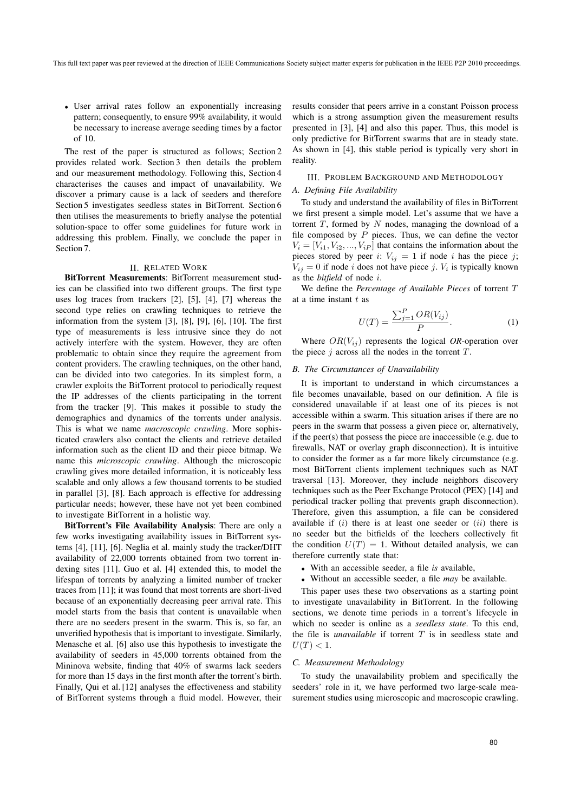• User arrival rates follow an exponentially increasing pattern; consequently, to ensure 99% availability, it would be necessary to increase average seeding times by a factor of 10.

The rest of the paper is structured as follows; Section 2 provides related work. Section 3 then details the problem and our measurement methodology. Following this, Section 4 characterises the causes and impact of unavailability. We discover a primary cause is a lack of seeders and therefore Section 5 investigates seedless states in BitTorrent. Section 6 then utilises the measurements to briefly analyse the potential solution-space to offer some guidelines for future work in addressing this problem. Finally, we conclude the paper in Section 7.

## II. RELATED WORK

**BitTorrent Measurements**: BitTorrent measurement studies can be classified into two different groups. The first type uses log traces from trackers [2], [5], [4], [7] whereas the second type relies on crawling techniques to retrieve the information from the system [3], [8], [9], [6], [10]. The first type of measurements is less intrusive since they do not actively interfere with the system. However, they are often problematic to obtain since they require the agreement from content providers. The crawling techniques, on the other hand, can be divided into two categories. In its simplest form, a crawler exploits the BitTorrent protocol to periodically request the IP addresses of the clients participating in the torrent from the tracker [9]. This makes it possible to study the demographics and dynamics of the torrents under analysis. This is what we name *macroscopic crawling*. More sophisticated crawlers also contact the clients and retrieve detailed information such as the client ID and their piece bitmap. We name this *microscopic crawling*. Although the microscopic crawling gives more detailed information, it is noticeably less scalable and only allows a few thousand torrents to be studied in parallel [3], [8]. Each approach is effective for addressing particular needs; however, these have not yet been combined to investigate BitTorrent in a holistic way.

**BitTorrent's File Availability Analysis**: There are only a few works investigating availability issues in BitTorrent systems [4], [11], [6]. Neglia et al. mainly study the tracker/DHT availability of 22,000 torrents obtained from two torrent indexing sites [11]. Guo et al. [4] extended this, to model the lifespan of torrents by analyzing a limited number of tracker traces from [11]; it was found that most torrents are short-lived because of an exponentially decreasing peer arrival rate. This model starts from the basis that content is unavailable when there are no seeders present in the swarm. This is, so far, an unverified hypothesis that is important to investigate. Similarly, Menasche et al. [6] also use this hypothesis to investigate the availability of seeders in 45,000 torrents obtained from the Mininova website, finding that 40% of swarms lack seeders for more than 15 days in the first month after the torrent's birth. Finally, Qui et al. [12] analyses the effectiveness and stability of BitTorrent systems through a fluid model. However, their results consider that peers arrive in a constant Poisson process which is a strong assumption given the measurement results presented in [3], [4] and also this paper. Thus, this model is only predictive for BitTorrent swarms that are in steady state. As shown in [4], this stable period is typically very short in reality.

## III. PROBLEM BACKGROUND AND METHODOLOGY

## *A. Defining File Availability*

To study and understand the availability of files in BitTorrent we first present a simple model. Let's assume that we have a torrent  $T$ , formed by  $N$  nodes, managing the download of a file composed by  $P$  pieces. Thus, we can define the vector  $V_i = [V_{i1}, V_{i2}, ..., V_{iP}]$  that contains the information about the pieces stored by peer i:  $V_{ij} = 1$  if node i has the piece j;  $V_{ij} = 0$  if node *i* does not have piece *j*.  $V_i$  is typically known as the *bitfield* of node i.

We define the *Percentage of Available Pieces* of torrent T at a time instant  $t$  as

$$
U(T) = \frac{\sum_{j=1}^{P} OR(V_{ij})}{P}.
$$
 (1)

Where  $OR(V_{ij})$  represents the logical OR-operation over the piece  $j$  across all the nodes in the torrent  $T$ .

## *B. The Circumstances of Unavailability*

It is important to understand in which circumstances a file becomes unavailable, based on our definition. A file is considered unavailable if at least one of its pieces is not accessible within a swarm. This situation arises if there are no peers in the swarm that possess a given piece or, alternatively, if the peer(s) that possess the piece are inaccessible (e.g. due to firewalls, NAT or overlay graph disconnection). It is intuitive to consider the former as a far more likely circumstance (e.g. most BitTorrent clients implement techniques such as NAT traversal [13]. Moreover, they include neighbors discovery techniques such as the Peer Exchange Protocol (PEX) [14] and periodical tracker polling that prevents graph disconnection). Therefore, given this assumption, a file can be considered available if  $(i)$  there is at least one seeder or  $(ii)$  there is no seeder but the bitfields of the leechers collectively fit the condition  $U(T)=1$ . Without detailed analysis, we can therefore currently state that:

- With an accessible seeder, a file *is* available,
- Without an accessible seeder, a file *may* be available.

This paper uses these two observations as a starting point to investigate unavailability in BitTorrent. In the following sections, we denote time periods in a torrent's lifecycle in which no seeder is online as a *seedless state*. To this end, the file is *unavailable* if torrent  $T$  is in seedless state and  $U(T) < 1.$ 

#### *C. Measurement Methodology*

To study the unavailability problem and specifically the seeders' role in it, we have performed two large-scale measurement studies using microscopic and macroscopic crawling.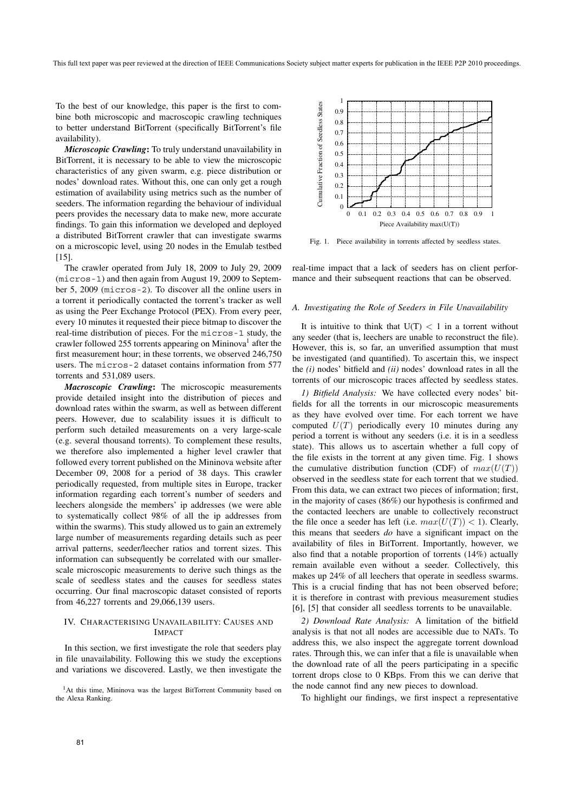To the best of our knowledge, this paper is the first to combine both microscopic and macroscopic crawling techniques to better understand BitTorrent (specifically BitTorrent's file availability).

*Microscopic Crawling***:** To truly understand unavailability in BitTorrent, it is necessary to be able to view the microscopic characteristics of any given swarm, e.g. piece distribution or nodes' download rates. Without this, one can only get a rough estimation of availability using metrics such as the number of seeders. The information regarding the behaviour of individual peers provides the necessary data to make new, more accurate findings. To gain this information we developed and deployed a distributed BitTorrent crawler that can investigate swarms on a microscopic level, using 20 nodes in the Emulab testbed [15].

The crawler operated from July 18, 2009 to July 29, 2009 (micros-1) and then again from August 19, 2009 to September 5, 2009 (micros-2). To discover all the online users in a torrent it periodically contacted the torrent's tracker as well as using the Peer Exchange Protocol (PEX). From every peer, every 10 minutes it requested their piece bitmap to discover the real-time distribution of pieces. For the micros-1 study, the crawler followed 255 torrents appearing on Mininova<sup>1</sup> after the first measurement hour; in these torrents, we observed 246,750 users. The micros-2 dataset contains information from 577 torrents and 531,089 users.

*Macroscopic Crawling***:** The microscopic measurements provide detailed insight into the distribution of pieces and download rates within the swarm, as well as between different peers. However, due to scalability issues it is difficult to perform such detailed measurements on a very large-scale (e.g. several thousand torrents). To complement these results, we therefore also implemented a higher level crawler that followed every torrent published on the Mininova website after December 09, 2008 for a period of 38 days. This crawler periodically requested, from multiple sites in Europe, tracker information regarding each torrent's number of seeders and leechers alongside the members' ip addresses (we were able to systematically collect 98% of all the ip addresses from within the swarms). This study allowed us to gain an extremely large number of measurements regarding details such as peer arrival patterns, seeder/leecher ratios and torrent sizes. This information can subsequently be correlated with our smallerscale microscopic measurements to derive such things as the scale of seedless states and the causes for seedless states occurring. Our final macroscopic dataset consisted of reports from 46,227 torrents and 29,066,139 users.

## IV. CHARACTERISING UNAVAILABILITY: CAUSES AND IMPACT

In this section, we first investigate the role that seeders play in file unavailability. Following this we study the exceptions and variations we discovered. Lastly, we then investigate the

<sup>1</sup>At this time, Mininova was the largest BitTorrent Community based on the Alexa Ranking.



Fig. 1. Piece availability in torrents affected by seedless states.

real-time impact that a lack of seeders has on client performance and their subsequent reactions that can be observed.

#### *A. Investigating the Role of Seeders in File Unavailability*

It is intuitive to think that  $U(T) < 1$  in a torrent without any seeder (that is, leechers are unable to reconstruct the file). However, this is, so far, an unverified assumption that must be investigated (and quantified). To ascertain this, we inspect the *(i)* nodes' bitfield and *(ii)* nodes' download rates in all the torrents of our microscopic traces affected by seedless states.

*1) Bitfield Analysis:* We have collected every nodes' bitfields for all the torrents in our microscopic measurements as they have evolved over time. For each torrent we have computed  $U(T)$  periodically every 10 minutes during any period a torrent is without any seeders (i.e. it is in a seedless state). This allows us to ascertain whether a full copy of the file exists in the torrent at any given time. Fig. 1 shows the cumulative distribution function (CDF) of  $max(U(T))$ observed in the seedless state for each torrent that we studied. From this data, we can extract two pieces of information; first, in the majority of cases (86%) our hypothesis is confirmed and the contacted leechers are unable to collectively reconstruct the file once a seeder has left (i.e.  $max(U(T)) < 1$ ). Clearly, this means that seeders *do* have a significant impact on the availability of files in BitTorrent. Importantly, however, we also find that a notable proportion of torrents (14%) actually remain available even without a seeder. Collectively, this makes up 24% of all leechers that operate in seedless swarms. This is a crucial finding that has not been observed before; it is therefore in contrast with previous measurement studies [6], [5] that consider all seedless torrents to be unavailable.

*2) Download Rate Analysis:* A limitation of the bitfield analysis is that not all nodes are accessible due to NATs. To address this, we also inspect the aggregate torrent download rates. Through this, we can infer that a file is unavailable when the download rate of all the peers participating in a specific torrent drops close to 0 KBps. From this we can derive that the node cannot find any new pieces to download.

To highlight our findings, we first inspect a representative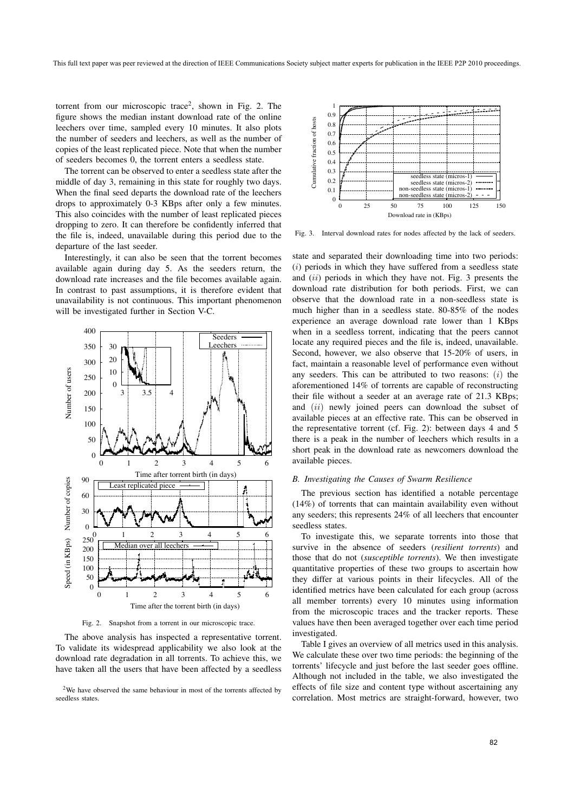torrent from our microscopic trace<sup>2</sup>, shown in Fig. 2. The figure shows the median instant download rate of the online leechers over time, sampled every 10 minutes. It also plots the number of seeders and leechers, as well as the number of copies of the least replicated piece. Note that when the number of seeders becomes 0, the torrent enters a seedless state.

The torrent can be observed to enter a seedless state after the middle of day 3, remaining in this state for roughly two days. When the final seed departs the download rate of the leechers drops to approximately 0-3 KBps after only a few minutes. This also coincides with the number of least replicated pieces dropping to zero. It can therefore be confidently inferred that the file is, indeed, unavailable during this period due to the departure of the last seeder.

Interestingly, it can also be seen that the torrent becomes available again during day 5. As the seeders return, the download rate increases and the file becomes available again. In contrast to past assumptions, it is therefore evident that unavailability is not continuous. This important phenomenon will be investigated further in Section V-C.



Fig. 2. Snapshot from a torrent in our microscopic trace.

The above analysis has inspected a representative torrent. To validate its widespread applicability we also look at the download rate degradation in all torrents. To achieve this, we have taken all the users that have been affected by a seedless



Fig. 3. Interval download rates for nodes affected by the lack of seeders.

state and separated their downloading time into two periods:  $(i)$  periods in which they have suffered from a seedless state and *(ii)* periods in which they have not. Fig. 3 presents the download rate distribution for both periods. First, we can observe that the download rate in a non-seedless state is much higher than in a seedless state. 80-85% of the nodes experience an average download rate lower than 1 KBps when in a seedless torrent, indicating that the peers cannot locate any required pieces and the file is, indeed, unavailable. Second, however, we also observe that 15-20% of users, in fact, maintain a reasonable level of performance even without any seeders. This can be attributed to two reasons:  $(i)$  the aforementioned 14% of torrents are capable of reconstructing their file without a seeder at an average rate of 21.3 KBps; and (ii) newly joined peers can download the subset of available pieces at an effective rate. This can be observed in the representative torrent (cf. Fig. 2): between days 4 and 5 there is a peak in the number of leechers which results in a short peak in the download rate as newcomers download the available pieces.

## *B. Investigating the Causes of Swarm Resilience*

The previous section has identified a notable percentage (14%) of torrents that can maintain availability even without any seeders; this represents 24% of all leechers that encounter seedless states.

To investigate this, we separate torrents into those that survive in the absence of seeders (*resilient torrents*) and those that do not (*susceptible torrents*). We then investigate quantitative properties of these two groups to ascertain how they differ at various points in their lifecycles. All of the identified metrics have been calculated for each group (across all member torrents) every 10 minutes using information from the microscopic traces and the tracker reports. These values have then been averaged together over each time period investigated.

Table I gives an overview of all metrics used in this analysis. We calculate these over two time periods: the beginning of the torrents' lifecycle and just before the last seeder goes offline. Although not included in the table, we also investigated the effects of file size and content type without ascertaining any correlation. Most metrics are straight-forward, however, two

<sup>&</sup>lt;sup>2</sup>We have observed the same behaviour in most of the torrents affected by seedless states.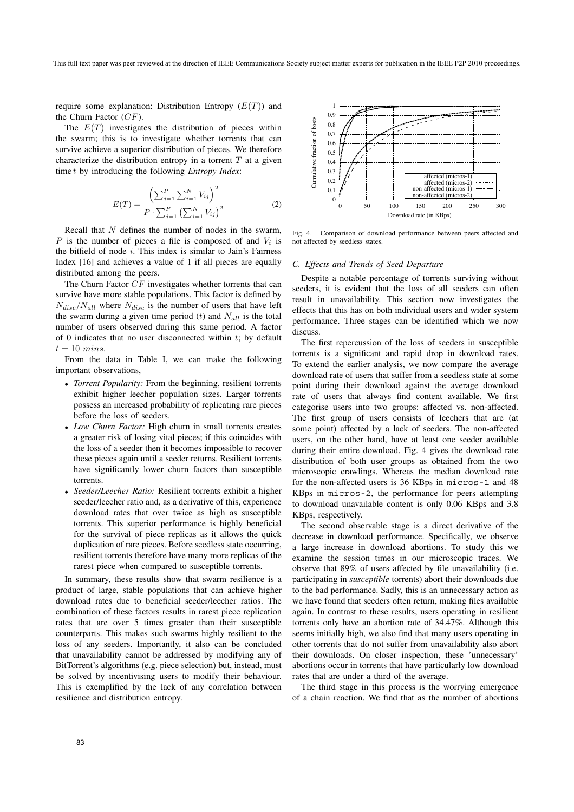require some explanation: Distribution Entropy  $(E(T))$  and the Churn Factor  $(CF)$ .

The  $E(T)$  investigates the distribution of pieces within the swarm; this is to investigate whether torrents that can survive achieve a superior distribution of pieces. We therefore characterize the distribution entropy in a torrent  $T$  at a given time t by introducing the following *Entropy Index*:

$$
E(T) = \frac{\left(\sum_{j=1}^{P} \sum_{i=1}^{N} V_{ij}\right)^{2}}{P \cdot \sum_{j=1}^{P} \left(\sum_{i=1}^{N} V_{ij}\right)^{2}}
$$
(2)

Recall that  $N$  defines the number of nodes in the swarm, P is the number of pieces a file is composed of and  $V_i$  is the bitfield of node  $i$ . This index is similar to Jain's Fairness Index [16] and achieves a value of 1 if all pieces are equally distributed among the peers.

The Churn Factor CF investigates whether torrents that can survive have more stable populations. This factor is defined by  $N_{disc}/N_{all}$  where  $N_{disc}$  is the number of users that have left the swarm during a given time period (t) and  $N_{all}$  is the total number of users observed during this same period. A factor of 0 indicates that no user disconnected within  $t$ ; by default  $t = 10$  mins.

From the data in Table I, we can make the following important observations,

- *Torrent Popularity:* From the beginning, resilient torrents exhibit higher leecher population sizes. Larger torrents possess an increased probability of replicating rare pieces before the loss of seeders.
- *Low Churn Factor:* High churn in small torrents creates a greater risk of losing vital pieces; if this coincides with the loss of a seeder then it becomes impossible to recover these pieces again until a seeder returns. Resilient torrents have significantly lower churn factors than susceptible torrents.
- *Seeder/Leecher Ratio:* Resilient torrents exhibit a higher seeder/leecher ratio and, as a derivative of this, experience download rates that over twice as high as susceptible torrents. This superior performance is highly beneficial for the survival of piece replicas as it allows the quick duplication of rare pieces. Before seedless state occurring, resilient torrents therefore have many more replicas of the rarest piece when compared to susceptible torrents.

In summary, these results show that swarm resilience is a product of large, stable populations that can achieve higher download rates due to beneficial seeder/leecher ratios. The combination of these factors results in rarest piece replication rates that are over 5 times greater than their susceptible counterparts. This makes such swarms highly resilient to the loss of any seeders. Importantly, it also can be concluded that unavailability cannot be addressed by modifying any of BitTorrent's algorithms (e.g. piece selection) but, instead, must be solved by incentivising users to modify their behaviour. This is exemplified by the lack of any correlation between resilience and distribution entropy.



Fig. 4. Comparison of download performance between peers affected and not affected by seedless states.

## *C. Effects and Trends of Seed Departure*

Despite a notable percentage of torrents surviving without seeders, it is evident that the loss of all seeders can often result in unavailability. This section now investigates the effects that this has on both individual users and wider system performance. Three stages can be identified which we now discuss.

The first repercussion of the loss of seeders in susceptible torrents is a significant and rapid drop in download rates. To extend the earlier analysis, we now compare the average download rate of users that suffer from a seedless state at some point during their download against the average download rate of users that always find content available. We first categorise users into two groups: affected vs. non-affected. The first group of users consists of leechers that are (at some point) affected by a lack of seeders. The non-affected users, on the other hand, have at least one seeder available during their entire download. Fig. 4 gives the download rate distribution of both user groups as obtained from the two microscopic crawlings. Whereas the median download rate for the non-affected users is 36 KBps in micros-1 and 48 KBps in micros-2, the performance for peers attempting to download unavailable content is only 0.06 KBps and 3.8 KBps, respectively.

The second observable stage is a direct derivative of the decrease in download performance. Specifically, we observe a large increase in download abortions. To study this we examine the session times in our microscopic traces. We observe that 89% of users affected by file unavailability (i.e. participating in *susceptible* torrents) abort their downloads due to the bad performance. Sadly, this is an unnecessary action as we have found that seeders often return, making files available again. In contrast to these results, users operating in resilient torrents only have an abortion rate of 34.47%. Although this seems initially high, we also find that many users operating in other torrents that do not suffer from unavailability also abort their downloads. On closer inspection, these 'unnecessary' abortions occur in torrents that have particularly low download rates that are under a third of the average.

The third stage in this process is the worrying emergence of a chain reaction. We find that as the number of abortions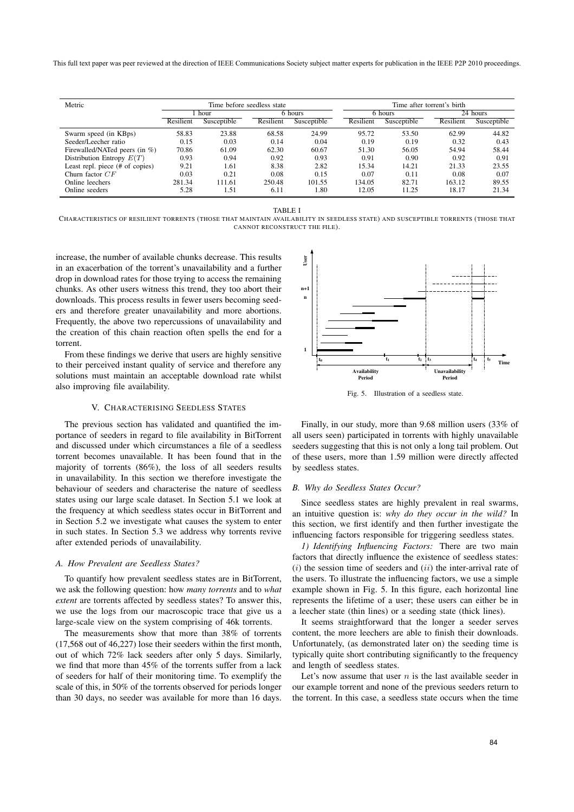This full text paper was peer reviewed at the direction of IEEE Communications Society subject matter experts for publication in the IEEE P2P 2010 proceedings.

| Metric                          | Time before seedless state |             |           |             | Time after torrent's birth |             |           |             |
|---------------------------------|----------------------------|-------------|-----------|-------------|----------------------------|-------------|-----------|-------------|
|                                 | hour                       |             | 6 hours   |             | 6 hours                    |             | 24 hours  |             |
|                                 | Resilient                  | Susceptible | Resilient | Susceptible | Resilient                  | Susceptible | Resilient | Susceptible |
| Swarm speed (in KBps)           | 58.83                      | 23.88       | 68.58     | 24.99       | 95.72                      | 53.50       | 62.99     | 44.82       |
| Seeder/Leecher ratio            | 0.15                       | 0.03        | 0.14      | 0.04        | 0.19                       | 0.19        | 0.32      | 0.43        |
| Firewalled/NATed peers (in %)   | 70.86                      | 61.09       | 62.30     | 60.67       | 51.30                      | 56.05       | 54.94     | 58.44       |
| Distribution Entropy $E(T)$     | 0.93                       | 0.94        | 0.92      | 0.93        | 0.91                       | 0.90        | 0.92      | 0.91        |
| Least repl. piece (# of copies) | 9.21                       | 1.61        | 8.38      | 2.82        | 15.34                      | 14.21       | 21.33     | 23.55       |
| Churn factor $CF$               | 0.03                       | 0.21        | 0.08      | 0.15        | 0.07                       | 0.11        | 0.08      | 0.07        |
| Online leechers                 | 281.34                     | 111.61      | 250.48    | 101.55      | 134.05                     | 82.71       | 163.12    | 89.55       |
| Online seeders                  | 5.28                       | 1.51        | 6.11      | 1.80        | 12.05                      | 11.25       | 18.17     | 21.34       |



CHARACTERISTICS OF RESILIENT TORRENTS (THOSE THAT MAINTAIN AVAILABILITY IN SEEDLESS STATE) AND SUSCEPTIBLE TORRENTS (THOSE THAT CANNOT RECONSTRUCT THE FILE).

increase, the number of available chunks decrease. This results in an exacerbation of the torrent's unavailability and a further drop in download rates for those trying to access the remaining chunks. As other users witness this trend, they too abort their downloads. This process results in fewer users becoming seeders and therefore greater unavailability and more abortions. Frequently, the above two repercussions of unavailability and the creation of this chain reaction often spells the end for a torrent.

From these findings we derive that users are highly sensitive to their perceived instant quality of service and therefore any solutions must maintain an acceptable download rate whilst also improving file availability.

## V. CHARACTERISING SEEDLESS STATES

The previous section has validated and quantified the importance of seeders in regard to file availability in BitTorrent and discussed under which circumstances a file of a seedless torrent becomes unavailable. It has been found that in the majority of torrents (86%), the loss of all seeders results in unavailability. In this section we therefore investigate the behaviour of seeders and characterise the nature of seedless states using our large scale dataset. In Section 5.1 we look at the frequency at which seedless states occur in BitTorrent and in Section 5.2 we investigate what causes the system to enter in such states. In Section 5.3 we address why torrents revive after extended periods of unavailability.

## *A. How Prevalent are Seedless States?*

To quantify how prevalent seedless states are in BitTorrent, we ask the following question: how *many torrents* and to *what extent* are torrents affected by seedless states? To answer this, we use the logs from our macroscopic trace that give us a large-scale view on the system comprising of 46k torrents.

The measurements show that more than 38% of torrents (17,568 out of 46,227) lose their seeders within the first month, out of which 72% lack seeders after only 5 days. Similarly, we find that more than 45% of the torrents suffer from a lack of seeders for half of their monitoring time. To exemplify the scale of this, in 50% of the torrents observed for periods longer than 30 days, no seeder was available for more than 16 days.



Fig. 5. Illustration of a seedless state.

Finally, in our study, more than 9.68 million users (33% of all users seen) participated in torrents with highly unavailable seeders suggesting that this is not only a long tail problem. Out of these users, more than 1.59 million were directly affected by seedless states.

#### *B. Why do Seedless States Occur?*

Since seedless states are highly prevalent in real swarms, an intuitive question is: *why do they occur in the wild?* In this section, we first identify and then further investigate the influencing factors responsible for triggering seedless states.

*1) Identifying Influencing Factors:* There are two main factors that directly influence the existence of seedless states:  $(i)$  the session time of seeders and  $(ii)$  the inter-arrival rate of the users. To illustrate the influencing factors, we use a simple example shown in Fig. 5. In this figure, each horizontal line represents the lifetime of a user; these users can either be in a leecher state (thin lines) or a seeding state (thick lines).

It seems straightforward that the longer a seeder serves content, the more leechers are able to finish their downloads. Unfortunately, (as demonstrated later on) the seeding time is typically quite short contributing significantly to the frequency and length of seedless states.

Let's now assume that user  $n$  is the last available seeder in our example torrent and none of the previous seeders return to the torrent. In this case, a seedless state occurs when the time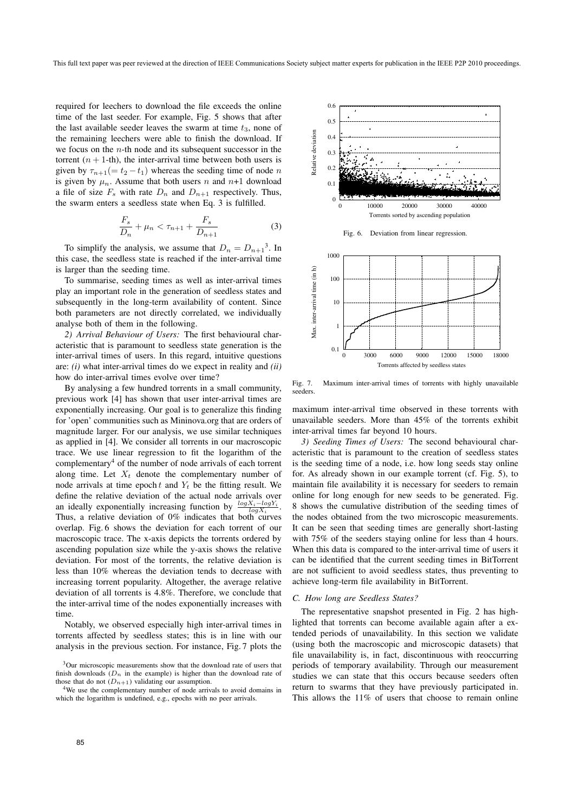required for leechers to download the file exceeds the online time of the last seeder. For example, Fig. 5 shows that after the last available seeder leaves the swarm at time  $t_3$ , none of the remaining leechers were able to finish the download. If we focus on the  $n$ -th node and its subsequent successor in the torrent  $(n + 1$ -th), the inter-arrival time between both users is given by  $\tau_{n+1}$ (=  $t_2 - t_1$ ) whereas the seeding time of node n is given by  $\mu_n$ . Assume that both users n and n+1 download a file of size  $F_s$  with rate  $D_n$  and  $D_{n+1}$  respectively. Thus, the swarm enters a seedless state when Eq. 3 is fulfilled.

$$
\frac{F_s}{D_n} + \mu_n < \tau_{n+1} + \frac{F_s}{D_{n+1}}\tag{3}
$$

To simplify the analysis, we assume that  $D_n = D_{n+1}^3$ . In this case, the seedless state is reached if the inter-arrival time is larger than the seeding time.

To summarise, seeding times as well as inter-arrival times play an important role in the generation of seedless states and subsequently in the long-term availability of content. Since both parameters are not directly correlated, we individually analyse both of them in the following.

*2) Arrival Behaviour of Users:* The first behavioural characteristic that is paramount to seedless state generation is the inter-arrival times of users. In this regard, intuitive questions are: *(i)* what inter-arrival times do we expect in reality and *(ii)* how do inter-arrival times evolve over time?

By analysing a few hundred torrents in a small community, previous work [4] has shown that user inter-arrival times are exponentially increasing. Our goal is to generalize this finding for 'open' communities such as Mininova.org that are orders of magnitude larger. For our analysis, we use similar techniques as applied in [4]. We consider all torrents in our macroscopic trace. We use linear regression to fit the logarithm of the complementary<sup>4</sup> of the number of node arrivals of each torrent along time. Let  $X_t$  denote the complementary number of node arrivals at time epoch  $t$  and  $Y_t$  be the fitting result. We define the relative deviation of the actual node arrivals over an ideally exponentially increasing function by  $\frac{\log X_i -}{\log Y}$  $log Y_i$ Thus, a relative deviation of  $0\%$  indicates that both curves overlap. Fig. 6 shows the deviation for each torrent of our macroscopic trace. The x-axis depicts the torrents ordered by ascending population size while the y-axis shows the relative deviation. For most of the torrents, the relative deviation is less than 10% whereas the deviation tends to decrease with increasing torrent popularity. Altogether, the average relative deviation of all torrents is 4.8%. Therefore, we conclude that the inter-arrival time of the nodes exponentially increases with time.

Notably, we observed especially high inter-arrival times in torrents affected by seedless states; this is in line with our analysis in the previous section. For instance, Fig. 7 plots the



Fig. 7. Maximum inter-arrival times of torrents with highly unavailable seeders.

maximum inter-arrival time observed in these torrents with unavailable seeders. More than 45% of the torrents exhibit inter-arrival times far beyond 10 hours.

*3) Seeding Times of Users:* The second behavioural characteristic that is paramount to the creation of seedless states is the seeding time of a node, i.e. how long seeds stay online for. As already shown in our example torrent (cf. Fig. 5), to maintain file availability it is necessary for seeders to remain online for long enough for new seeds to be generated. Fig. 8 shows the cumulative distribution of the seeding times of the nodes obtained from the two microscopic measurements. It can be seen that seeding times are generally short-lasting with 75% of the seeders staying online for less than 4 hours. When this data is compared to the inter-arrival time of users it can be identified that the current seeding times in BitTorrent are not sufficient to avoid seedless states, thus preventing to achieve long-term file availability in BitTorrent.

## *C. How long are Seedless States?*

The representative snapshot presented in Fig. 2 has highlighted that torrents can become available again after a extended periods of unavailability. In this section we validate (using both the macroscopic and microscopic datasets) that file unavailability is, in fact, discontinuous with reoccurring periods of temporary availability. Through our measurement studies we can state that this occurs because seeders often return to swarms that they have previously participated in. This allows the 11% of users that choose to remain online

<sup>&</sup>lt;sup>3</sup>Our microscopic measurements show that the download rate of users that finish downloads  $(D_n$  in the example) is higher than the download rate of those that do not  $(D_{n+1})$  validating our assumption.

<sup>&</sup>lt;sup>4</sup>We use the complementary number of node arrivals to avoid domains in which the logarithm is undefined, e.g., epochs with no peer arrivals.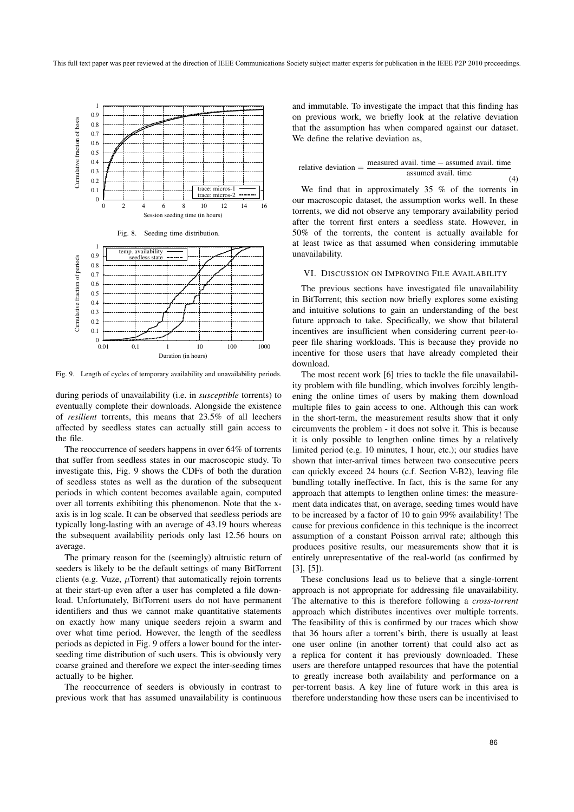

Fig. 9. Length of cycles of temporary availability and unavailability periods.

during periods of unavailability (i.e. in *susceptible* torrents) to eventually complete their downloads. Alongside the existence of *resilient* torrents, this means that 23.5% of all leechers affected by seedless states can actually still gain access to the file.

The reoccurrence of seeders happens in over 64% of torrents that suffer from seedless states in our macroscopic study. To investigate this, Fig. 9 shows the CDFs of both the duration of seedless states as well as the duration of the subsequent periods in which content becomes available again, computed over all torrents exhibiting this phenomenon. Note that the xaxis is in log scale. It can be observed that seedless periods are typically long-lasting with an average of 43.19 hours whereas the subsequent availability periods only last 12.56 hours on average.

The primary reason for the (seemingly) altruistic return of seeders is likely to be the default settings of many BitTorrent clients (e.g. Vuze,  $\mu$ Torrent) that automatically rejoin torrents at their start-up even after a user has completed a file download. Unfortunately, BitTorrent users do not have permanent identifiers and thus we cannot make quantitative statements on exactly how many unique seeders rejoin a swarm and over what time period. However, the length of the seedless periods as depicted in Fig. 9 offers a lower bound for the interseeding time distribution of such users. This is obviously very coarse grained and therefore we expect the inter-seeding times actually to be higher.

The reoccurrence of seeders is obviously in contrast to previous work that has assumed unavailability is continuous

and immutable. To investigate the impact that this finding has on previous work, we briefly look at the relative deviation that the assumption has when compared against our dataset. We define the relative deviation as,

relative deviation = 
$$
\frac{\text{measured avail. time} - \text{assumed avail. time}}{\text{assumed avail. time}}
$$

We find that in approximately 35 % of the torrents in our macroscopic dataset, the assumption works well. In these torrents, we did not observe any temporary availability period after the torrent first enters a seedless state. However, in 50% of the torrents, the content is actually available for at least twice as that assumed when considering immutable unavailability.

## VI. DISCUSSION ON IMPROVING FILE AVAILABILITY

The previous sections have investigated file unavailability in BitTorrent; this section now briefly explores some existing and intuitive solutions to gain an understanding of the best future approach to take. Specifically, we show that bilateral incentives are insufficient when considering current peer-topeer file sharing workloads. This is because they provide no incentive for those users that have already completed their download.

The most recent work [6] tries to tackle the file unavailability problem with file bundling, which involves forcibly lengthening the online times of users by making them download multiple files to gain access to one. Although this can work in the short-term, the measurement results show that it only circumvents the problem - it does not solve it. This is because it is only possible to lengthen online times by a relatively limited period (e.g. 10 minutes, 1 hour, etc.); our studies have shown that inter-arrival times between two consecutive peers can quickly exceed 24 hours (c.f. Section V-B2), leaving file bundling totally ineffective. In fact, this is the same for any approach that attempts to lengthen online times: the measurement data indicates that, on average, seeding times would have to be increased by a factor of 10 to gain 99% availability! The cause for previous confidence in this technique is the incorrect assumption of a constant Poisson arrival rate; although this produces positive results, our measurements show that it is entirely unrepresentative of the real-world (as confirmed by [3], [5]).

These conclusions lead us to believe that a single-torrent approach is not appropriate for addressing file unavailability. The alternative to this is therefore following a *cross-torrent* approach which distributes incentives over multiple torrents. The feasibility of this is confirmed by our traces which show that 36 hours after a torrent's birth, there is usually at least one user online (in another torrent) that could also act as a replica for content it has previously downloaded. These users are therefore untapped resources that have the potential to greatly increase both availability and performance on a per-torrent basis. A key line of future work in this area is therefore understanding how these users can be incentivised to